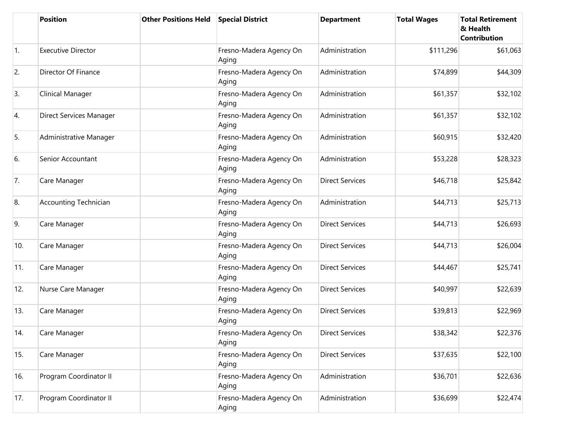|            | <b>Position</b>              | <b>Other Positions Held</b> | <b>Special District</b>          | <b>Department</b>      | <b>Total Wages</b> | <b>Total Retirement</b><br>& Health<br><b>Contribution</b> |
|------------|------------------------------|-----------------------------|----------------------------------|------------------------|--------------------|------------------------------------------------------------|
| $\vert$ 1. | <b>Executive Director</b>    |                             | Fresno-Madera Agency On<br>Aging | Administration         | \$111,296          | \$61,063                                                   |
| 2.         | Director Of Finance          |                             | Fresno-Madera Agency On<br>Aging | Administration         | \$74,899           | \$44,309                                                   |
| 3.         | Clinical Manager             |                             | Fresno-Madera Agency On<br>Aging | Administration         | \$61,357           | \$32,102                                                   |
| 4.         | Direct Services Manager      |                             | Fresno-Madera Agency On<br>Aging | Administration         | \$61,357           | \$32,102                                                   |
| 5.         | Administrative Manager       |                             | Fresno-Madera Agency On<br>Aging | Administration         | \$60,915           | \$32,420                                                   |
| 6.         | Senior Accountant            |                             | Fresno-Madera Agency On<br>Aging | Administration         | \$53,228           | \$28,323                                                   |
| 7.         | Care Manager                 |                             | Fresno-Madera Agency On<br>Aging | <b>Direct Services</b> | \$46,718           | \$25,842                                                   |
| 8.         | <b>Accounting Technician</b> |                             | Fresno-Madera Agency On<br>Aging | Administration         | \$44,713           | \$25,713                                                   |
| 9.         | Care Manager                 |                             | Fresno-Madera Agency On<br>Aging | <b>Direct Services</b> | \$44,713           | \$26,693                                                   |
| 10.        | Care Manager                 |                             | Fresno-Madera Agency On<br>Aging | <b>Direct Services</b> | \$44,713           | \$26,004                                                   |
| 11.        | Care Manager                 |                             | Fresno-Madera Agency On<br>Aging | <b>Direct Services</b> | \$44,467           | \$25,741                                                   |
| 12.        | Nurse Care Manager           |                             | Fresno-Madera Agency On<br>Aging | <b>Direct Services</b> | \$40,997           | \$22,639                                                   |
| 13.        | Care Manager                 |                             | Fresno-Madera Agency On<br>Aging | <b>Direct Services</b> | \$39,813           | \$22,969                                                   |
| 14.        | Care Manager                 |                             | Fresno-Madera Agency On<br>Aging | <b>Direct Services</b> | \$38,342           | \$22,376                                                   |
| 15.        | Care Manager                 |                             | Fresno-Madera Agency On<br>Aging | <b>Direct Services</b> | \$37,635           | \$22,100                                                   |
| 16.        | Program Coordinator II       |                             | Fresno-Madera Agency On<br>Aging | Administration         | \$36,701           | \$22,636                                                   |
| 17.        | Program Coordinator II       |                             | Fresno-Madera Agency On<br>Aging | Administration         | \$36,699           | \$22,474                                                   |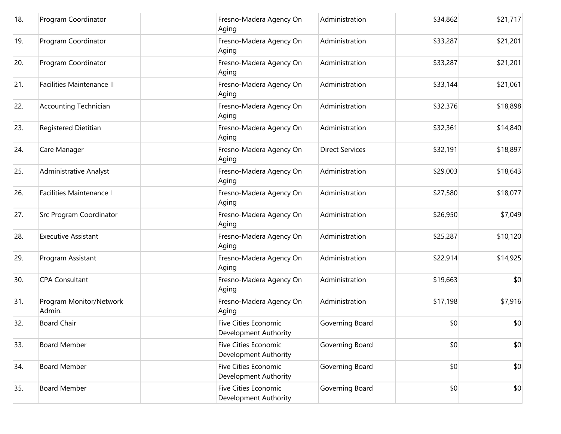| 18. | Program Coordinator               | Fresno-Madera Agency On<br>Aging                     | Administration         | \$34,862 | \$21,717 |
|-----|-----------------------------------|------------------------------------------------------|------------------------|----------|----------|
| 19. | Program Coordinator               | Fresno-Madera Agency On<br>Aging                     | Administration         | \$33,287 | \$21,201 |
| 20. | Program Coordinator               | Fresno-Madera Agency On<br>Aging                     | Administration         | \$33,287 | \$21,201 |
| 21. | <b>Facilities Maintenance II</b>  | Fresno-Madera Agency On<br>Aging                     | Administration         | \$33,144 | \$21,061 |
| 22. | <b>Accounting Technician</b>      | Fresno-Madera Agency On<br>Aging                     | Administration         | \$32,376 | \$18,898 |
| 23. | Registered Dietitian              | Fresno-Madera Agency On<br>Aging                     | Administration         | \$32,361 | \$14,840 |
| 24. | Care Manager                      | Fresno-Madera Agency On<br>Aging                     | <b>Direct Services</b> | \$32,191 | \$18,897 |
| 25. | <b>Administrative Analyst</b>     | Fresno-Madera Agency On<br>Aging                     | Administration         | \$29,003 | \$18,643 |
| 26. | <b>Facilities Maintenance I</b>   | Fresno-Madera Agency On<br>Aging                     | Administration         | \$27,580 | \$18,077 |
| 27. | Src Program Coordinator           | Fresno-Madera Agency On<br>Aging                     | Administration         | \$26,950 | \$7,049  |
| 28. | <b>Executive Assistant</b>        | Fresno-Madera Agency On<br>Aging                     | Administration         | \$25,287 | \$10,120 |
| 29. | Program Assistant                 | Fresno-Madera Agency On<br>Aging                     | Administration         | \$22,914 | \$14,925 |
| 30. | <b>CPA Consultant</b>             | Fresno-Madera Agency On<br>Aging                     | Administration         | \$19,663 | \$0      |
| 31. | Program Monitor/Network<br>Admin. | Fresno-Madera Agency On<br>Aging                     | Administration         | \$17,198 | \$7,916  |
| 32. | <b>Board Chair</b>                | <b>Five Cities Economic</b><br>Development Authority | Governing Board        | \$0      | \$0      |
| 33. | <b>Board Member</b>               | <b>Five Cities Economic</b><br>Development Authority | Governing Board        | \$0      | \$0      |
| 34. | <b>Board Member</b>               | <b>Five Cities Economic</b><br>Development Authority | Governing Board        | \$0      | \$0      |
| 35. | <b>Board Member</b>               | <b>Five Cities Economic</b><br>Development Authority | Governing Board        | \$0      | \$0      |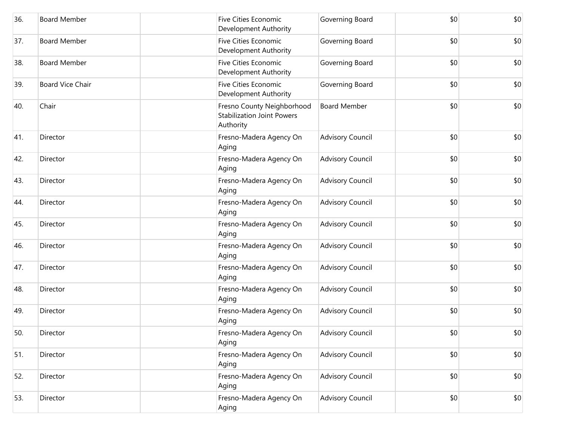| 36. | <b>Board Member</b>     | Five Cities Economic<br>Development Authority                                | Governing Board         | \$0 | \$0 |
|-----|-------------------------|------------------------------------------------------------------------------|-------------------------|-----|-----|
| 37. | <b>Board Member</b>     | <b>Five Cities Economic</b><br>Development Authority                         | Governing Board         | \$0 | \$0 |
| 38. | <b>Board Member</b>     | <b>Five Cities Economic</b><br>Development Authority                         | Governing Board         | \$0 | \$0 |
| 39. | <b>Board Vice Chair</b> | <b>Five Cities Economic</b><br>Development Authority                         | Governing Board         | \$0 | \$0 |
| 40. | Chair                   | Fresno County Neighborhood<br><b>Stabilization Joint Powers</b><br>Authority | <b>Board Member</b>     | \$0 | \$0 |
| 41. | Director                | Fresno-Madera Agency On<br>Aging                                             | <b>Advisory Council</b> | \$0 | \$0 |
| 42. | Director                | Fresno-Madera Agency On<br>Aging                                             | <b>Advisory Council</b> | \$0 | \$0 |
| 43. | Director                | Fresno-Madera Agency On<br>Aging                                             | <b>Advisory Council</b> | \$0 | \$0 |
| 44. | Director                | Fresno-Madera Agency On<br>Aging                                             | <b>Advisory Council</b> | \$0 | \$0 |
| 45. | Director                | Fresno-Madera Agency On<br>Aging                                             | <b>Advisory Council</b> | \$0 | \$0 |
| 46. | Director                | Fresno-Madera Agency On<br>Aging                                             | <b>Advisory Council</b> | \$0 | \$0 |
| 47. | Director                | Fresno-Madera Agency On<br>Aging                                             | <b>Advisory Council</b> | \$0 | \$0 |
| 48. | Director                | Fresno-Madera Agency On<br>Aging                                             | <b>Advisory Council</b> | \$0 | \$0 |
| 49. | Director                | Fresno-Madera Agency On<br>Aging                                             | <b>Advisory Council</b> | \$0 | \$0 |
| 50. | Director                | Fresno-Madera Agency On<br>Aging                                             | Advisory Council        | \$0 | \$0 |
| 51. | Director                | Fresno-Madera Agency On<br>Aging                                             | <b>Advisory Council</b> | \$0 | \$0 |
| 52. | Director                | Fresno-Madera Agency On<br>Aging                                             | <b>Advisory Council</b> | \$0 | \$0 |
| 53. | Director                | Fresno-Madera Agency On<br>Aging                                             | <b>Advisory Council</b> | \$0 | \$0 |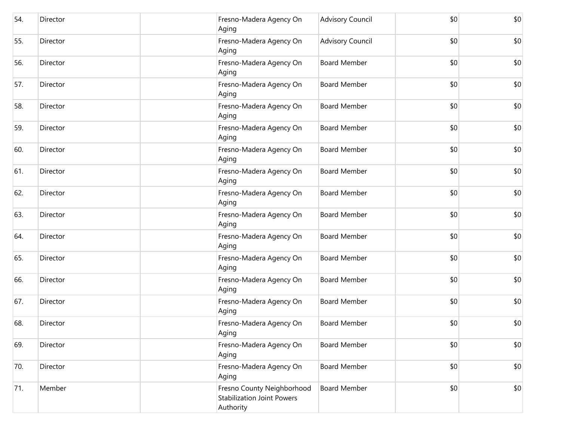| 54. | Director | Fresno-Madera Agency On<br>Aging                                             | <b>Advisory Council</b> | \$0 | \$0 |
|-----|----------|------------------------------------------------------------------------------|-------------------------|-----|-----|
| 55. | Director | Fresno-Madera Agency On<br>Aging                                             | <b>Advisory Council</b> | \$0 | \$0 |
| 56. | Director | Fresno-Madera Agency On<br>Aging                                             | <b>Board Member</b>     | \$0 | \$0 |
| 57. | Director | Fresno-Madera Agency On<br>Aging                                             | <b>Board Member</b>     | \$0 | \$0 |
| 58. | Director | Fresno-Madera Agency On<br>Aging                                             | <b>Board Member</b>     | \$0 | \$0 |
| 59. | Director | Fresno-Madera Agency On<br>Aging                                             | <b>Board Member</b>     | \$0 | \$0 |
| 60. | Director | Fresno-Madera Agency On<br>Aging                                             | <b>Board Member</b>     | \$0 | \$0 |
| 61. | Director | Fresno-Madera Agency On<br>Aging                                             | <b>Board Member</b>     | \$0 | \$0 |
| 62. | Director | Fresno-Madera Agency On<br>Aging                                             | <b>Board Member</b>     | \$0 | \$0 |
| 63. | Director | Fresno-Madera Agency On<br>Aging                                             | <b>Board Member</b>     | \$0 | \$0 |
| 64. | Director | Fresno-Madera Agency On<br>Aging                                             | <b>Board Member</b>     | \$0 | \$0 |
| 65. | Director | Fresno-Madera Agency On<br>Aging                                             | <b>Board Member</b>     | \$0 | \$0 |
| 66. | Director | Fresno-Madera Agency On<br>Aging                                             | <b>Board Member</b>     | \$0 | \$0 |
| 67. | Director | Fresno-Madera Agency On<br>Aging                                             | <b>Board Member</b>     | \$0 | \$0 |
| 68. | Director | Fresno-Madera Agency On<br>Aging                                             | <b>Board Member</b>     | \$0 | \$0 |
| 69. | Director | Fresno-Madera Agency On<br>Aging                                             | <b>Board Member</b>     | \$0 | \$0 |
| 70. | Director | Fresno-Madera Agency On<br>Aging                                             | <b>Board Member</b>     | \$0 | \$0 |
| 71. | Member   | Fresno County Neighborhood<br><b>Stabilization Joint Powers</b><br>Authority | <b>Board Member</b>     | \$0 | \$0 |